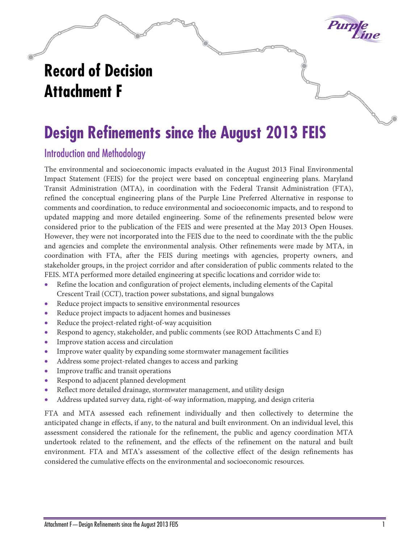

# **Record of Decision Attachment F**

## **Design Refinements since the August 2013 FEIS**

## Introduction and Methodology

The environmental and socioeconomic impacts evaluated in the August 2013 Final Environmental Impact Statement (FEIS) for the project were based on conceptual engineering plans. Maryland Transit Administration (MTA), in coordination with the Federal Transit Administration (FTA), refined the conceptual engineering plans of the Purple Line Preferred Alternative in response to comments and coordination, to reduce environmental and socioeconomic impacts, and to respond to updated mapping and more detailed engineering. Some of the refinements presented below were considered prior to the publication of the FEIS and were presented at the May 2013 Open Houses. However, they were not incorporated into the FEIS due to the need to coordinate with the the public and agencies and complete the environmental analysis. Other refinements were made by MTA, in coordination with FTA, after the FEIS during meetings with agencies, property owners, and stakeholder groups, in the project corridor and after consideration of public comments related to the FEIS. MTA performed more detailed engineering at specific locations and corridor wide to:

- Refine the location and configuration of project elements, including elements of the Capital Crescent Trail (CCT), traction power substations, and signal bungalows
- Reduce project impacts to sensitive environmental resources
- Reduce project impacts to adjacent homes and businesses
- Reduce the project-related right-of-way acquisition
- Respond to agency, stakeholder, and public comments (see ROD Attachments C and E)
- Improve station access and circulation
- Improve water quality by expanding some stormwater management facilities
- Address some project-related changes to access and parking
- Improve traffic and transit operations
- Respond to adjacent planned development
- Reflect more detailed drainage, stormwater management, and utility design
- Address updated survey data, right-of-way information, mapping, and design criteria

FTA and MTA assessed each refinement individually and then collectively to determine the anticipated change in effects, if any, to the natural and built environment. On an individual level, this assessment considered the rationale for the refinement, the public and agency coordination MTA undertook related to the refinement, and the effects of the refinement on the natural and built environment. FTA and MTA's assessment of the collective effect of the design refinements has considered the cumulative effects on the environmental and socioeconomic resources.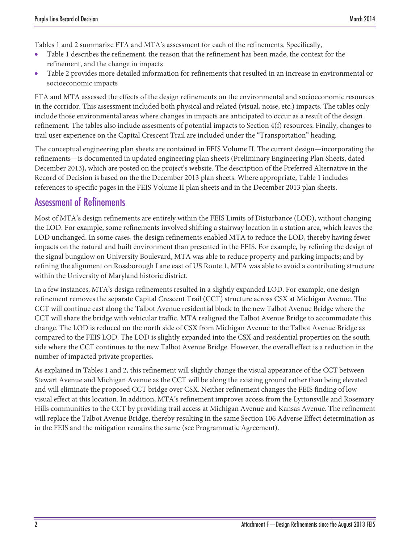Tables 1 and 2 summarize FTA and MTA's assessment for each of the refinements. Specifically,

- Table 1 describes the refinement, the reason that the refinement has been made, the context for the refinement, and the change in impacts
- Table 2 provides more detailed information for refinements that resulted in an increase in environmental or socioeconomic impacts

FTA and MTA assessed the effects of the design refinements on the environmental and socioeconomic resources in the corridor. This assessment included both physical and related (visual, noise, etc.) impacts. The tables only include those environmental areas where changes in impacts are anticipated to occur as a result of the design refinement. The tables also include assesments of potential impacts to Section 4(f) resources. Finally, changes to trail user experience on the Capital Crescent Trail are included under the "Transportation" heading.

The conceptual engineering plan sheets are contained in FEIS Volume II. The current design—incorporating the refinements—is documented in updated engineering plan sheets (Preliminary Engineering Plan Sheets, dated December 2013), which are posted on the project's website. The description of the Preferred Alternative in the Record of Decision is based on the the December 2013 plan sheets. Where appropriate, Table 1 includes references to specific pages in the FEIS Volume II plan sheets and in the December 2013 plan sheets.

## Assessment of Refinements

Most of MTA's design refinements are entirely within the FEIS Limits of Disturbance (LOD), without changing the LOD. For example, some refinements involved shifting a stairway location in a station area, which leaves the LOD unchanged. In some cases, the design refinements enabled MTA to reduce the LOD, thereby having fewer impacts on the natural and built environment than presented in the FEIS. For example, by refining the design of the signal bungalow on University Boulevard, MTA was able to reduce property and parking impacts; and by refining the alignment on Rossborough Lane east of US Route 1, MTA was able to avoid a contributing structure within the University of Maryland historic district.

In a few instances, MTA's design refinements resulted in a slightly expanded LOD. For example, one design refinement removes the separate Capital Crescent Trail (CCT) structure across CSX at Michigan Avenue. The CCT will continue east along the Talbot Avenue residential block to the new Talbot Avenue Bridge where the CCT will share the bridge with vehicular traffic. MTA realigned the Talbot Avenue Bridge to accommodate this change. The LOD is reduced on the north side of CSX from Michigan Avenue to the Talbot Avenue Bridge as compared to the FEIS LOD. The LOD is slightly expanded into the CSX and residential properties on the south side where the CCT continues to the new Talbot Avenue Bridge. However, the overall effect is a reduction in the number of impacted private properties.

As explained in Tables 1 and 2, this refinement will slightly change the visual appearance of the CCT between Stewart Avenue and Michigan Avenue as the CCT will be along the existing ground rather than being elevated and will eliminate the proposed CCT bridge over CSX. Neither refinement changes the FEIS finding of low visual effect at this location. In addition, MTA's refinement improves access from the Lyttonsville and Rosemary Hills communities to the CCT by providing trail access at Michigan Avenue and Kansas Avenue. The refinement will replace the Talbot Avenue Bridge, thereby resulting in the same Section 106 Adverse Effect determination as in the FEIS and the mitigation remains the same (see Programmatic Agreement).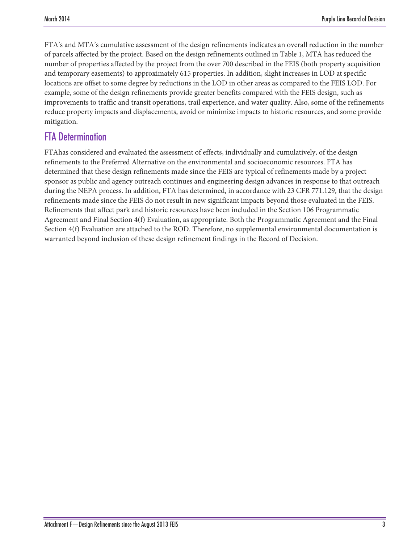FTA's and MTA's cumulative assessment of the design refinements indicates an overall reduction in the number of parcels affected by the project. Based on the design refinements outlined in Table 1, MTA has reduced the number of properties affected by the project from the over 700 described in the FEIS (both property acquisition and temporary easements) to approximately 615 properties. In addition, slight increases in LOD at specific locations are offset to some degree by reductions in the LOD in other areas as compared to the FEIS LOD. For example, some of the design refinements provide greater benefits compared with the FEIS design, such as improvements to traffic and transit operations, trail experience, and water quality. Also, some of the refinements reduce property impacts and displacements, avoid or minimize impacts to historic resources, and some provide mitigation.

## FTA Determination

FTAhas considered and evaluated the assessment of effects, individually and cumulatively, of the design refinements to the Preferred Alternative on the environmental and socioeconomic resources. FTA has determined that these design refinements made since the FEIS are typical of refinements made by a project sponsor as public and agency outreach continues and engineering design advances in response to that outreach during the NEPA process. In addition, FTA has determined, in accordance with 23 CFR 771.129, that the design refinements made since the FEIS do not result in new significant impacts beyond those evaluated in the FEIS. Refinements that affect park and historic resources have been included in the Section 106 Programmatic Agreement and Final Section 4(f) Evaluation, as appropriate. Both the Programmatic Agreement and the Final Section 4(f) Evaluation are attached to the ROD. Therefore, no supplemental environmental documentation is warranted beyond inclusion of these design refinement findings in the Record of Decision.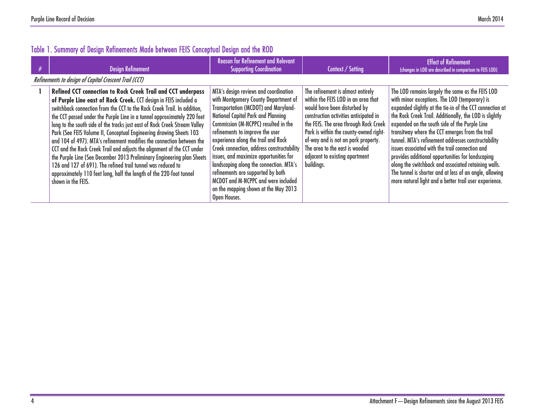| # | <b>Design Refinement</b>                                                                                                                                                                                                                                                                                                                                                                                                                                                                                                                                                                                                                                                                                                                                                                                                                       | <b>Reason for Refinement and Relevant</b><br><b>Supporting Coordination</b>                                                                                                                                                                                                                                                                                                                                                                                                                                                                                 | Context / Setting                                                                                                                                                                                                                                                                                                                                              | <b>Effect of Refinement</b><br>(changes in LOD are described in comparison to FEIS LOD)                                                                                                                                                                                                                                                                                                                                                                                                                                                                                                                                                                                  |
|---|------------------------------------------------------------------------------------------------------------------------------------------------------------------------------------------------------------------------------------------------------------------------------------------------------------------------------------------------------------------------------------------------------------------------------------------------------------------------------------------------------------------------------------------------------------------------------------------------------------------------------------------------------------------------------------------------------------------------------------------------------------------------------------------------------------------------------------------------|-------------------------------------------------------------------------------------------------------------------------------------------------------------------------------------------------------------------------------------------------------------------------------------------------------------------------------------------------------------------------------------------------------------------------------------------------------------------------------------------------------------------------------------------------------------|----------------------------------------------------------------------------------------------------------------------------------------------------------------------------------------------------------------------------------------------------------------------------------------------------------------------------------------------------------------|--------------------------------------------------------------------------------------------------------------------------------------------------------------------------------------------------------------------------------------------------------------------------------------------------------------------------------------------------------------------------------------------------------------------------------------------------------------------------------------------------------------------------------------------------------------------------------------------------------------------------------------------------------------------------|
|   | <b>Refinements to design of Capital Crescent Trail (CCT)</b>                                                                                                                                                                                                                                                                                                                                                                                                                                                                                                                                                                                                                                                                                                                                                                                   |                                                                                                                                                                                                                                                                                                                                                                                                                                                                                                                                                             |                                                                                                                                                                                                                                                                                                                                                                |                                                                                                                                                                                                                                                                                                                                                                                                                                                                                                                                                                                                                                                                          |
|   | <b>Refined CCT connection to Rock Creek Trail and CCT underpass</b><br>of Purple Line east of Rock Creek. CCT design in FEIS included a<br>switchback connection from the CCT to the Rock Creek Trail. In addition,<br>the CCT passed under the Purple Line in a tunnel approximately 220 feet<br>long to the south side of the tracks just east of Rock Creek Stream Valley<br>Park (See FEIS Volume II, Conceptual Engineering drawing Sheets 103<br>and 104 of 497). MTA's refinement modifies the connection between the<br>CCT and the Rock Creek Trail and adjusts the alignment of the CCT under<br>the Purple Line (See December 2013 Preliminary Engineering plan Sheets<br>126 and 127 of 691). The refined trail tunnel was reduced to<br>approximately 110 feet long, half the length of the 220-foot tunnel<br>shown in the FEIS. | MTA's design reviews and coordination<br>with Montgomery County Department of<br><b>Transportation (MCDOT) and Maryland-</b><br>National Capital Park and Planning<br>Commission (M-NCPPC) resulted in the<br>refinements to improve the user<br>experience along the trail and Rock<br>Creek connection, address constructability<br>issues, and maximize opportunities for<br>landscaping along the connection. MTA's<br>refinements are supported by both<br>MCDOT and M-NCPPC and were included<br>on the mapping shown at the May 2013<br>Open Houses. | The refinement is almost entirely<br>within the FEIS LOD in an area that<br>would have been disturbed by<br>construction activities anticipated in<br>the FEIS. The area through Rock Creek<br>Park is within the county-owned right-<br>of-way and is not on park property.<br>The area to the east is wooded<br>adjacent to existing apartment<br>buildings. | The LOD remains largely the same as the FEIS LOD<br>with minor exceptions. The LOD (temporary) is<br>expanded slightly at the tie-in of the CCT connection at<br>the Rock Creek Trail. Additionally, the LOD is slightly<br>expanded on the south side of the Purple Line<br>transitway where the CCT emerges from the trail<br>tunnel. MTA's refinement addresses constructability<br>issues associated with the trail connection and<br>provides additional opportunities for landscaping<br>along the switchback and associated retaining walls.<br>The tunnel is shorter and at less of an angle, allowing<br>more natural light and a better trail user experience. |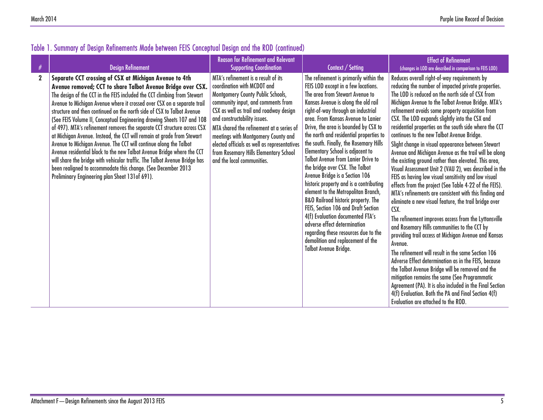| $\#$        | <b>Design Refinement</b>                                                                                                                                                                                                                                                                                                                                                                                                                                                                                                                                                                                                                                                                                                                                                                                                                                                                                                               | <b>Reason for Refinement and Relevant</b><br><b>Supporting Coordination</b>                                                                                                                                                                                                                                                                                                                                                        | Context / Setting                                                                                                                                                                                                                                                                                                                                                                                                                                                                                                                                                                                                                                                                                                                                                                                                                                                                  | <b>Effect of Refinement</b><br>(changes in LOD are described in comparison to FEIS LOD)                                                                                                                                                                                                                                                                                                                                                                                                                                                                                                                                                                                                                                                                                                                                                                                                                                                                                                                                                                                                                                                                                                                                                                                                                                                                                                                                                                           |
|-------------|----------------------------------------------------------------------------------------------------------------------------------------------------------------------------------------------------------------------------------------------------------------------------------------------------------------------------------------------------------------------------------------------------------------------------------------------------------------------------------------------------------------------------------------------------------------------------------------------------------------------------------------------------------------------------------------------------------------------------------------------------------------------------------------------------------------------------------------------------------------------------------------------------------------------------------------|------------------------------------------------------------------------------------------------------------------------------------------------------------------------------------------------------------------------------------------------------------------------------------------------------------------------------------------------------------------------------------------------------------------------------------|------------------------------------------------------------------------------------------------------------------------------------------------------------------------------------------------------------------------------------------------------------------------------------------------------------------------------------------------------------------------------------------------------------------------------------------------------------------------------------------------------------------------------------------------------------------------------------------------------------------------------------------------------------------------------------------------------------------------------------------------------------------------------------------------------------------------------------------------------------------------------------|-------------------------------------------------------------------------------------------------------------------------------------------------------------------------------------------------------------------------------------------------------------------------------------------------------------------------------------------------------------------------------------------------------------------------------------------------------------------------------------------------------------------------------------------------------------------------------------------------------------------------------------------------------------------------------------------------------------------------------------------------------------------------------------------------------------------------------------------------------------------------------------------------------------------------------------------------------------------------------------------------------------------------------------------------------------------------------------------------------------------------------------------------------------------------------------------------------------------------------------------------------------------------------------------------------------------------------------------------------------------------------------------------------------------------------------------------------------------|
| $\mathbf 2$ | Separate CCT crossing of CSX at Michigan Avenue to 4th<br>Avenue removed; CCT to share Talbot Avenue Bridge over CSX.<br>The design of the CCT in the FEIS included the CCT climbing from Stewart<br>Avenue to Michigan Avenue where it crossed over CSX on a separate trail<br>structure and then continued on the north side of CSX to Talbot Avenue<br>(See FEIS Volume II, Conceptual Engineering drawing Sheets 107 and 108<br>of 497). MTA's refinement removes the separate CCT structure across CSX<br>at Michigan Avenue. Instead, the CCT will remain at grade from Stewart<br>Avenue to Michigan Avenue. The CCT will continue along the Talbot<br>Avenue residential block to the new Talbot Avenue Bridge where the CCT<br>will share the bridge with vehicular traffic. The Talbot Avenue Bridge has<br>been realigned to accommodate this change. (See December 2013<br>Preliminary Engineering plan Sheet 131 of 691). | MTA's refinement is a result of its<br>coordination with MCDOT and<br>Montgomery County Public Schools,<br>community input, and comments from<br>CSX as well as trail and roadway design<br>and constructability issues.<br>MTA shared the refinement at a series of<br>meetings with Montgomery County and<br>elected officials as well as representatives<br>from Rosemary Hills Elementary School<br>and the local communities. | The refinement is primarily within the<br>FEIS LOD except in a few locations.<br>The area from Stewart Avenue to<br>Kansas Avenue is along the old rail<br>right-of-way through an industrial<br>area. From Kansas Avenue to Lanier<br>Drive, the area is bounded by CSX to<br>the north and residential properties to<br>the south. Finally, the Rosemary Hills<br><b>Elementary School is adjacent to</b><br><b>Talbot Avenue from Lanier Drive to</b><br>the bridge over CSX. The Talbot<br>Avenue Bridge is a Section 106<br>historic property and is a contributing<br>element to the Metropolitan Branch,<br><b>B&amp;O Railroad historic property. The</b><br>FEIS, Section 106 and Draft Section<br>4(f) Evaluation documented FTA's<br>adverse effect determination<br>regarding these resources due to the<br>demolition and replacement of the<br>Talbot Avenue Bridge. | Reduces overall right-of-way requirements by<br>reducing the number of impacted private properties.<br>The LOD is reduced on the north side of CSX from<br>Michigan Avenue to the Talbot Avenue Bridge. MTA's<br>refinement avoids some property acquisition from<br>CSX. The LOD expands slightly into the CSX and<br>residential properties on the south side where the CCT<br>continues to the new Talbot Avenue Bridge.<br>Slight change in visual appearance between Stewart<br>Avenue and Michigan Avenue as the trail will be along<br>the existing ground rather than elevated. This area,<br>Visual Assessment Unit 2 (VAU 2), was described in the<br>FEIS as having low visual sensitivity and low visual<br>effects from the project (See Table 4-22 of the FEIS).<br>MTA's refinements are consistent with this finding and<br>eliminate a new visual feature, the trail bridge over<br>CSX.<br>The refinement improves access from the Lyttonsville<br>and Rosemary Hills communities to the CCT by<br>providing trail access at Michigan Avenue and Kansas<br>Avenue.<br>The refinement will result in the same Section 106<br>Adverse Effect determination as in the FEIS, because<br>the Talbot Avenue Bridge will be removed and the<br>mitigation remains the same (See Programmatic<br>Agreement (PA). It is also included in the Final Section<br>4(f) Evaluation. Both the PA and Final Section 4(f)<br>Evaluation are attached to the ROD. |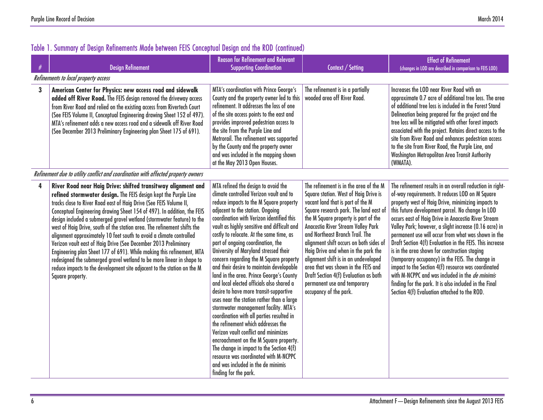| $\#$         | <b>Design Refinement</b>                                                                                                                                                                                                                                                                                                                                                                                                                                                                                                                                                                                                                                                                                                                                                                                                          | <b>Reason for Refinement and Relevant</b><br><b>Supporting Coordination</b>                                                                                                                                                                                                                                                                                                                                                                                                                                                                                                                                                                                                                                                                                                                                                                                                                                                                                                                                                  | Context / Setting                                                                                                                                                                                                                                                                                                                                                                                                                                                                                                                                  | <b>Effect of Refinement</b><br>(changes in LOD are described in comparison to FEIS LOD)                                                                                                                                                                                                                                                                                                                                                                                                                                                                                                                                                                                                                                                                                                   |  |  |
|--------------|-----------------------------------------------------------------------------------------------------------------------------------------------------------------------------------------------------------------------------------------------------------------------------------------------------------------------------------------------------------------------------------------------------------------------------------------------------------------------------------------------------------------------------------------------------------------------------------------------------------------------------------------------------------------------------------------------------------------------------------------------------------------------------------------------------------------------------------|------------------------------------------------------------------------------------------------------------------------------------------------------------------------------------------------------------------------------------------------------------------------------------------------------------------------------------------------------------------------------------------------------------------------------------------------------------------------------------------------------------------------------------------------------------------------------------------------------------------------------------------------------------------------------------------------------------------------------------------------------------------------------------------------------------------------------------------------------------------------------------------------------------------------------------------------------------------------------------------------------------------------------|----------------------------------------------------------------------------------------------------------------------------------------------------------------------------------------------------------------------------------------------------------------------------------------------------------------------------------------------------------------------------------------------------------------------------------------------------------------------------------------------------------------------------------------------------|-------------------------------------------------------------------------------------------------------------------------------------------------------------------------------------------------------------------------------------------------------------------------------------------------------------------------------------------------------------------------------------------------------------------------------------------------------------------------------------------------------------------------------------------------------------------------------------------------------------------------------------------------------------------------------------------------------------------------------------------------------------------------------------------|--|--|
|              | Refinements to local property access                                                                                                                                                                                                                                                                                                                                                                                                                                                                                                                                                                                                                                                                                                                                                                                              |                                                                                                                                                                                                                                                                                                                                                                                                                                                                                                                                                                                                                                                                                                                                                                                                                                                                                                                                                                                                                              |                                                                                                                                                                                                                                                                                                                                                                                                                                                                                                                                                    |                                                                                                                                                                                                                                                                                                                                                                                                                                                                                                                                                                                                                                                                                                                                                                                           |  |  |
| $\mathbf{3}$ | American Center for Physics: new access road and sidewalk<br>added off River Road. The FEIS design removed the driveway access<br>from River Road and relied on the existing access from Rivertech Court<br>(See FEIS Volume II, Conceptual Engineering drawing Sheet 152 of 497).<br>MTA's refinement adds a new access road and a sidewalk off River Road<br>(See December 2013 Preliminary Engineering plan Sheet 175 of 691).                                                                                                                                                                                                                                                                                                                                                                                                 | MTA's coordination with Prince George's<br>County and the property owner led to this<br>refinement. It addresses the loss of one<br>of the site access points to the east and<br>provides improved pedestrian access to<br>the site from the Purple Line and<br>Metrorail. The refinement was supported<br>by the County and the property owner<br>and was included in the mapping shown<br>at the May 2013 Open Houses.                                                                                                                                                                                                                                                                                                                                                                                                                                                                                                                                                                                                     | The refinement is in a partially<br>wooded area off River Road.                                                                                                                                                                                                                                                                                                                                                                                                                                                                                    | Increases the LOD near River Road with an<br>approximate 0.7 acre of additional tree loss. The area<br>of additional tree loss is included in the Forest Stand<br>Delineation being prepared for the project and the<br>tree loss will be mitigated with other forest impacts<br>associated with the project. Retains direct access to the<br>site from River Road and enhances pedestrian access<br>to the site from River Road, the Purple Line, and<br>Washington Metropolitan Area Transit Authority<br>(WMATA).                                                                                                                                                                                                                                                                      |  |  |
|              | Refinement due to utility conflict and coordination with affected property owners                                                                                                                                                                                                                                                                                                                                                                                                                                                                                                                                                                                                                                                                                                                                                 |                                                                                                                                                                                                                                                                                                                                                                                                                                                                                                                                                                                                                                                                                                                                                                                                                                                                                                                                                                                                                              |                                                                                                                                                                                                                                                                                                                                                                                                                                                                                                                                                    |                                                                                                                                                                                                                                                                                                                                                                                                                                                                                                                                                                                                                                                                                                                                                                                           |  |  |
| 4            | River Road near Haig Drive: shifted transitway alignment and<br>refined stormwater design. The FEIS design kept the Purple Line<br>tracks close to River Road east of Haig Drive (See FEIS Volume II,<br>Conceptual Engineering drawing Sheet 154 of 497). In addition, the FEIS<br>design included a submerged gravel wetland (stormwater feature) to the<br>west of Haig Drive, south of the station area. The refinement shifts the<br>alignment approximately 10 feet south to avoid a climate controlled<br>Verizon vault east of Haig Drive (See December 2013 Preliminary<br>Engineering plan Sheet 177 of 691). While making this refinement, MTA<br>redesigned the submerged gravel wetland to be more linear in shape to<br>reduce impacts to the development site adjacent to the station on the M<br>Square property. | MTA refined the design to avoid the<br>climate controlled Verizon vault and to<br>reduce impacts to the M Square property<br>adjacent to the station. Ongoing<br>coordination with Verizon identified this<br>vault as highly sensitive and difficult and<br>costly to relocate. At the same time, as<br>part of ongoing coordination, the<br>University of Maryland stressed their<br>concern regarding the M Square property<br>and their desire to maintain developable<br>land in the area. Prince George's County<br>and local elected officials also shared a<br>desire to have more transit-supportive<br>uses near the station rather than a large<br>stormwater management facility. MTA's<br>coordination with all parties resulted in<br>the refinement which addresses the<br>Verizon vault conflict and minimizes<br>encroachment on the M Square property.<br>The change in impact to the Section 4(f)<br>resource was coordinated with M-NCPPC<br>and was included in the de minimis<br>finding for the park. | The refinement is in the area of the M<br>Square station. West of Haig Drive is<br>vacant land that is part of the M<br>Square research park. The land east of<br>the M Square property is part of the<br>Anacostia River Stream Valley Park<br>and Northeast Branch Trail. The<br>alignment shift occurs on both sides of<br>Haig Drive and when in the park the<br>alignment shift is in an undeveloped<br>area that was shown in the FEIS and<br>Draft Section 4(f) Evaluation as both<br>permanent use and temporary<br>occupancy of the park. | The refinement results in an overall reduction in right-<br>of-way requirements. It reduces LOD on M Square<br>property west of Haig Drive, minimizing impacts to<br>this future development parcel. No change In LOD<br>occurs east of Haig Drive in Anacostia River Stream<br>Valley Park; however, a slight increase (0.16 acre) in<br>permanent use will occur from what was shown in the<br>Draft Section 4(f) Evaluation in the FEIS. This increase<br>is in the area shown for construction staging<br>(temporary occupancy) in the FEIS. The change in<br>impact to the Section 4(f) resource was coordinated<br>with M-NCPPC and was included in the <i>de minimis</i><br>finding for the park. It is also included in the Final<br>Section 4(f) Evaluation attached to the ROD. |  |  |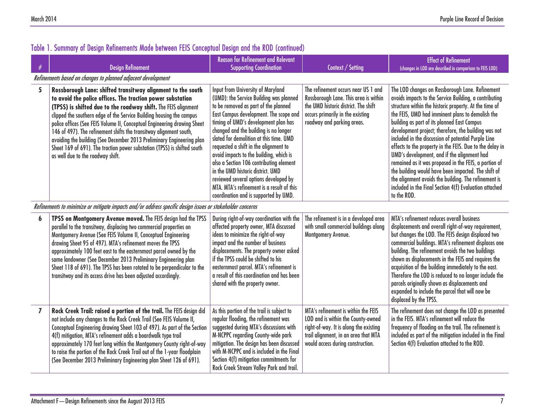|                | <b>Design Refinement</b>                                                                                                                                                                                                                                                                                                                                                                                                                                                                                                                                                                                        | <b>Reason for Refinement and Relevant</b><br><b>Supporting Coordination</b>                                                                                                                                                                                                                                                                                                                                                                                                                                                                                                                   | Context / Setting                                                                                                                                                                                | <b>Effect of Refinement</b><br>(changes in LOD are described in comparison to FEIS LOD)                                                                                                                                                                                                                                                                                                                                                                                                                                                                                                                                                                                                                                                           |  |  |
|----------------|-----------------------------------------------------------------------------------------------------------------------------------------------------------------------------------------------------------------------------------------------------------------------------------------------------------------------------------------------------------------------------------------------------------------------------------------------------------------------------------------------------------------------------------------------------------------------------------------------------------------|-----------------------------------------------------------------------------------------------------------------------------------------------------------------------------------------------------------------------------------------------------------------------------------------------------------------------------------------------------------------------------------------------------------------------------------------------------------------------------------------------------------------------------------------------------------------------------------------------|--------------------------------------------------------------------------------------------------------------------------------------------------------------------------------------------------|---------------------------------------------------------------------------------------------------------------------------------------------------------------------------------------------------------------------------------------------------------------------------------------------------------------------------------------------------------------------------------------------------------------------------------------------------------------------------------------------------------------------------------------------------------------------------------------------------------------------------------------------------------------------------------------------------------------------------------------------------|--|--|
|                | Refinements based on changes to planned adjacent development                                                                                                                                                                                                                                                                                                                                                                                                                                                                                                                                                    |                                                                                                                                                                                                                                                                                                                                                                                                                                                                                                                                                                                               |                                                                                                                                                                                                  |                                                                                                                                                                                                                                                                                                                                                                                                                                                                                                                                                                                                                                                                                                                                                   |  |  |
| 5              | Rossborough Lane: shifted transitway alignment to the south<br>to avoid the police offices. The traction power substation<br>(TPSS) is shifted due to the roadway shift. The FEIS alignment<br>clipped the southern edge of the Service Building housing the campus<br>police offices (See FEIS Volume II, Conceptual Engineering drawing Sheet<br>146 of 497). The refinement shifts the transitway alignment south,<br>avoiding the building (See December 2013 Preliminary Engineering plan<br>Sheet 169 of 691). The traction power substation (TPSS) is shifted south<br>as well due to the roadway shift. | Input from University of Maryland<br>(UMD): the Service Building was planned<br>to be removed as part of the planned<br>East Campus development. The scope and<br>timing of UMD's development plan has<br>changed and the building is no longer<br>slated for demolition at this time. UMD<br>requested a shift in the alignment to<br>avoid impacts to the building, which is<br>also a Section 106 contributing element<br>in the UMD historic district. UMD<br>reviewed several options developed by<br>MTA. MTA's refinement is a result of this<br>coordination and is supported by UMD. | The refinement occurs near US 1 and<br>Rossborough Lane. This area is within<br>the UMD historic district. The shift<br>occurs primarily in the existing<br>roadway and parking areas.           | The LOD changes on Rossborough Lane. Refinement<br>avoids impacts to the Service Building, a contributing<br>structure within the historic property. At the time of<br>the FEIS, UMD had imminent plans to demolish the<br>building as part of its planned East Campus<br>development project; therefore, the building was not<br>included in the discussion of potential Purple Line<br>effects to the property in the FEIS. Due to the delay in<br>UMD's development, and if the alignment had<br>remained as it was proposed in the FEIS, a portion of<br>the building would have been impacted. The shift of<br>the alignment avoids the building. The refinement is<br>included in the Final Section 4(f) Evaluation attached<br>to the ROD. |  |  |
|                | Refinements to minimize or mitigate impacts and/or address specific design issues or stakeholder concerns                                                                                                                                                                                                                                                                                                                                                                                                                                                                                                       |                                                                                                                                                                                                                                                                                                                                                                                                                                                                                                                                                                                               |                                                                                                                                                                                                  |                                                                                                                                                                                                                                                                                                                                                                                                                                                                                                                                                                                                                                                                                                                                                   |  |  |
| 6              | TPSS on Montgomery Avenue moved. The FEIS design had the TPSS<br>parallel to the transitway, displacing two commercial properties on<br>Montgomery Avenue (See FEIS Volume II, Conceptual Engineering<br>drawing Sheet 95 of 497). MTA's refinement moves the TPSS<br>approximately 100 feet east to the easternmost parcel owned by the<br>same landowner (See December 2013 Preliminary Engineering plan<br>Sheet 118 of 691). The TPSS has been rotated to be perpendicular to the<br>transitway and its access drive has been adjusted accordingly.                                                         | During right-of-way coordination with the<br>affected property owner, MTA discussed<br>ideas to minimize the right-of-way<br>impact and the number of business<br>displacements. The property owner asked<br>if the TPSS could be shifted to his<br>easternmost parcel. MTA's refinement is<br>a result of this coordination and has been<br>shared with the property owner.                                                                                                                                                                                                                  | The refinement is in a developed area<br>with small commercial buildings along<br>Montgomery Avenue.                                                                                             | MTA's refinement reduces overall business<br>displacements and overall right-of-way requirement,<br>but changes the LOD. The FEIS design displaced two<br>commercial buildings. MTA's refinement displaces one<br>building. The refinement avoids the two buildings<br>shown as displacements in the FEIS and requires the<br>acquisition of the building immediately to the east.<br>Therefore the LOD is reduced to no longer include the<br>parcels originally shown as displacements and<br>expanded to include the parcel that will now be<br>displaced by the TPSS.                                                                                                                                                                         |  |  |
| $\overline{7}$ | Rock Creek Trail: raised a portion of the trail. The FEIS design did<br>not include any changes to the Rock Creek Trail (See FEIS Volume II,<br>Conceptual Engineering drawing Sheet 103 of 497). As part of the Section<br>4(f) mitigation, MTA's refinement adds a boardwalk type trail<br>approximately 170 feet long within the Montgomery County right-of-way<br>to raise the portion of the Rock Creek Trail out of the 1-year floodplain<br>(See December 2013 Preliminary Engineering plan Sheet 126 of 691).                                                                                           | As this portion of the trail is subject to<br>regular flooding, the refinement was<br>suggested during MTA's discussions with<br>M-NCPPC regarding County-wide park<br>mitigation. The design has been discussed<br>with M-NCPPC and is included in the Final<br>Section 4(f) mitigation commitments for<br>Rock Creek Stream Valley Park and trail.                                                                                                                                                                                                                                          | MTA's refinement is within the FEIS<br>LOD and is within the County-owned<br>right-of-way. It is along the existing<br>trail alignment, in an area that MTA<br>would access during construction. | The refinement does not change the LOD as presented<br>in the FEIS. MTA's refinement will reduce the<br>frequency of flooding on the trail. The refinement is<br>included as part of the mitigation included in the Final<br>Section 4(f) Evaluation attached to the ROD.                                                                                                                                                                                                                                                                                                                                                                                                                                                                         |  |  |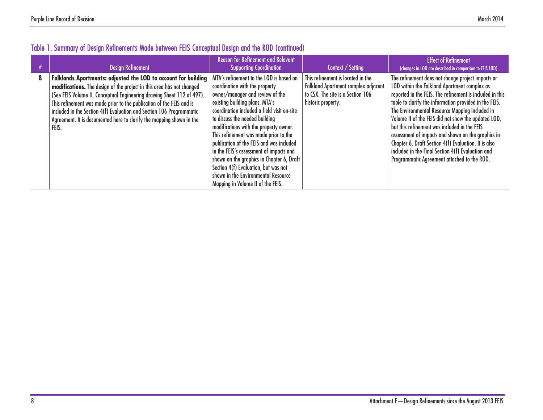|   | <b>Design Refinement</b>                                                                                                                                                                                                                                                                                                                                                                                                                           | <b>Reason for Refinement and Relevant</b><br><b>Supporting Coordination</b>                                                                                                                                                                                                                                                                                                                                                                                                                                                                                                | Context / Setting                                                                                                                   | <b>Effect of Refinement</b><br>(changes in LOD are described in comparison to FEIS LOD)                                                                                                                                                                                                                                                                                                                                                                                                                                                                                                            |
|---|----------------------------------------------------------------------------------------------------------------------------------------------------------------------------------------------------------------------------------------------------------------------------------------------------------------------------------------------------------------------------------------------------------------------------------------------------|----------------------------------------------------------------------------------------------------------------------------------------------------------------------------------------------------------------------------------------------------------------------------------------------------------------------------------------------------------------------------------------------------------------------------------------------------------------------------------------------------------------------------------------------------------------------------|-------------------------------------------------------------------------------------------------------------------------------------|----------------------------------------------------------------------------------------------------------------------------------------------------------------------------------------------------------------------------------------------------------------------------------------------------------------------------------------------------------------------------------------------------------------------------------------------------------------------------------------------------------------------------------------------------------------------------------------------------|
| 8 | Falklands Apartments: adjusted the LOD to account for building<br>modifications. The design of the project in this area has not changed<br>(See FEIS Volume II, Conceptual Engineering drawing Sheet 112 of 497).<br>This refinement was made prior to the publication of the FEIS and is<br>included in the Section 4(f) Evaluation and Section 106 Programmatic<br>Agreement. It is documented here to clarify the mapping shown in the<br>FEIS. | MTA's refinement to the LOD is based on<br>coordination with the property<br>owner/manager and review of the<br>existing building plans. MTA's<br>coordination included a field visit on-site<br>to discuss the needed building<br>modifications with the property owner.<br>This refinement was made prior to the<br>publication of the FEIS and was included<br>in the FEIS's assessment of impacts and<br>shown on the graphics in Chapter 6, Draft<br>Section 4(f) Evaluation, but was not<br>shown in the Environmental Resource<br>Mapping in Volume II of the FEIS. | This refinement is located in the<br>Falkland Apartment complex adjacent<br>to CSX. The site is a Section 106<br>historic property. | The refinement does not change project impacts or<br>LOD within the Falkland Apartment complex as<br>reported in the FEIS. The refinement is included in this<br>table to clarify the information provided in the FEIS.<br>The Environmental Resource Mapping included in<br>Volume II of the FEIS did not show the updated LOD,<br>but this refinement was included in the FEIS<br>assessment of impacts and shown on the graphics in<br>Chapter 6, Draft Section 4(f) Evaluation. It is also<br>included in the Final Section 4(f) Evaluation and<br>Programmatic Agreement attached to the ROD. |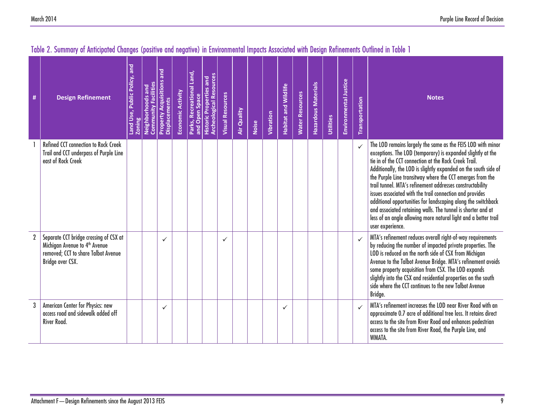| #              | <b>Design Refinement</b>                                                                                                                       | Land Use, Public Policy, and<br><b>Zoning</b> | <b>Neighborhoods and<br/>Community Facilities</b> | Property Acquisitions and<br>Displacements | Economic Activity | Parks, Recreational Land,<br>and Open Space | <b>Historic Properties and<br/>Archeological Resources</b> | <b>Visual Resources</b> | Air Quality | Noise | Vibration | Habitat and Wildlife | <b>Water Resources</b> | <b>Hazardous Materials</b> | <b>Utilities</b> | Environmental Justice | Transportation | <b>Notes</b>                                                                                                                                                                                                                                                                                                                                                                                                                                                                                                                                                                                                                                                         |
|----------------|------------------------------------------------------------------------------------------------------------------------------------------------|-----------------------------------------------|---------------------------------------------------|--------------------------------------------|-------------------|---------------------------------------------|------------------------------------------------------------|-------------------------|-------------|-------|-----------|----------------------|------------------------|----------------------------|------------------|-----------------------|----------------|----------------------------------------------------------------------------------------------------------------------------------------------------------------------------------------------------------------------------------------------------------------------------------------------------------------------------------------------------------------------------------------------------------------------------------------------------------------------------------------------------------------------------------------------------------------------------------------------------------------------------------------------------------------------|
|                | <b>Refined CCT connection to Rock Creek</b><br>Trail and CCT underpass of Purple Line<br>east of Rock Creek                                    |                                               |                                                   |                                            |                   |                                             |                                                            |                         |             |       |           |                      |                        |                            |                  |                       |                | The LOD remains largely the same as the FEIS LOD with minor<br>exceptions. The LOD (temporary) is expanded slightly at the<br>tie in of the CCT connection at the Rock Creek Trail.<br>Additionally, the LOD is slightly expanded on the south side of<br>the Purple Line transitway where the CCT emerges from the<br>trail tunnel. MTA's refinement addresses constructability<br>issues associated with the trail connection and provides<br>additional opportunities for landscaping along the switchback<br>and associated retaining walls. The tunnel is shorter and at<br>less of an angle allowing more natural light and a better trail<br>user experience. |
| $\overline{2}$ | Separate CCT bridge crossing of CSX at<br>Michigan Avenue to 4 <sup>th</sup> Avenue<br>removed; CCT to share Talbot Avenue<br>Bridge over CSX. |                                               |                                                   | ✓                                          |                   |                                             |                                                            | ✓                       |             |       |           |                      |                        |                            |                  |                       | $\checkmark$   | MTA's refinement reduces overall right-of-way requirements<br>by reducing the number of impacted private properties. The<br>LOD is reduced on the north side of CSX from Michigan<br>Avenue to the Talbot Avenue Bridge. MTA's refinement avoids<br>some property acquisition from CSX. The LOD expands<br>slightly into the CSX and residential properties on the south<br>side where the CCT continues to the new Talbot Avenue<br>Bridge.                                                                                                                                                                                                                         |
| 3              | American Center for Physics: new<br>access road and sidewalk added off<br>River Road.                                                          |                                               |                                                   | ✓                                          |                   |                                             |                                                            |                         |             |       |           | $\checkmark$         |                        |                            |                  |                       | $\checkmark$   | MTA's refinement increases the LOD near River Road with an<br>approximate 0.7 acre of additional tree loss. It retains direct<br>access to the site from River Road and enhances pedestrian<br>access to the site from River Road, the Purple Line, and<br>WMATA.                                                                                                                                                                                                                                                                                                                                                                                                    |

#### Table 2. Summary of Anticipated Changes (positive and negative) in Environmental Impacts Associated with Design Refinements Outlined in Table 1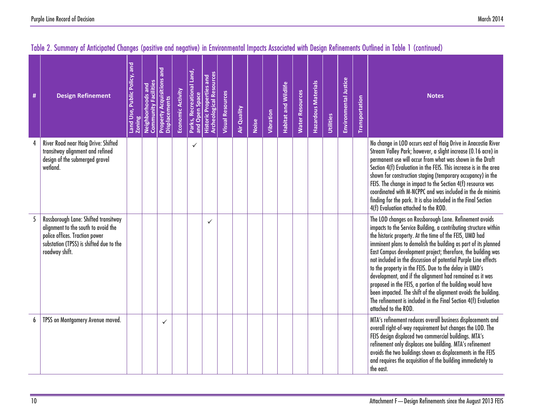| # | <b>Design Refinement</b>                                                                                                                                                   | Land Use, Public Policy, and<br><b>Zoning</b> | <b>Community Facilities</b><br>Neighborhoods and | Property Acquisitions and<br>Displacements | Economic Activity | Parks, Recreational Land,<br>and Open Space | <b>Archeological Resources</b><br><b>Historic Properties and</b> | <b>Visual Resources</b> | Air Quality | Noise | Vibration | Habitat and Wildlife | <b>Water Resources</b> | <b>Hazardous Materials</b> | Utilities | Environmental Justice | Transportation | <b>Notes</b>                                                                                                                                                                                                                                                                                                                                                                                                                                                                                                                                                                                                                                                                                                                                |
|---|----------------------------------------------------------------------------------------------------------------------------------------------------------------------------|-----------------------------------------------|--------------------------------------------------|--------------------------------------------|-------------------|---------------------------------------------|------------------------------------------------------------------|-------------------------|-------------|-------|-----------|----------------------|------------------------|----------------------------|-----------|-----------------------|----------------|---------------------------------------------------------------------------------------------------------------------------------------------------------------------------------------------------------------------------------------------------------------------------------------------------------------------------------------------------------------------------------------------------------------------------------------------------------------------------------------------------------------------------------------------------------------------------------------------------------------------------------------------------------------------------------------------------------------------------------------------|
|   | River Road near Haig Drive: Shifted<br>transitway alignment and refined<br>design of the submerged gravel<br>wetland.                                                      |                                               |                                                  |                                            |                   | $\checkmark$                                |                                                                  |                         |             |       |           |                      |                        |                            |           |                       |                | No change in LOD occurs east of Haig Drive in Anacostia River<br>Stream Valley Park; however, a slight increase (0.16 acre) in<br>permanent use will occur from what was shown in the Draft<br>Section 4(f) Evaluation in the FEIS. This increase is in the area<br>shown for construction staging (temporary occupancy) in the<br>FEIS. The change in impact to the Section 4(f) resource was<br>coordinated with M-NCPPC and was included in the de minimis<br>finding for the park. It is also included in the Final Section<br>4(f) Evaluation attached to the ROD.                                                                                                                                                                     |
|   | Rossborough Lane: Shifted transitway<br>alignment to the south to avoid the<br>police offices. Traction power<br>substation (TPSS) is shifted due to the<br>roadway shift. |                                               |                                                  |                                            |                   |                                             | ✓                                                                |                         |             |       |           |                      |                        |                            |           |                       |                | The LOD changes on Rossborough Lane. Refinement avoids<br>impacts to the Service Building, a contributing structure within<br>the historic property. At the time of the FEIS, UMD had<br>imminent plans to demolish the building as part of its planned<br>East Campus development project; therefore, the building was<br>not included in the discussion of potential Purple Line effects<br>to the property in the FEIS. Due to the delay in UMD's<br>development, and if the alignment had remained as it was<br>proposed in the FEIS, a portion of the building would have<br>been impacted. The shift of the alignment avoids the building.<br>The refinement is included in the Final Section 4(f) Evaluation<br>attached to the ROD. |
| 6 | TPSS on Montgomery Avenue moved.                                                                                                                                           |                                               |                                                  | ✓                                          |                   |                                             |                                                                  |                         |             |       |           |                      |                        |                            |           |                       |                | MTA's refinement reduces overall business displacements and<br>overall right-of-way requirement but changes the LOD. The<br>FEIS design displaced two commercial buildings. MTA's<br>refinement only displaces one building. MTA's refinement<br>avoids the two buildings shown as displacements in the FEIS<br>and requires the acquisition of the building immediately to<br>the east.                                                                                                                                                                                                                                                                                                                                                    |

#### Table 2. Summary of Anticipated Changes (positive and negative) in Environmental Impacts Associated with Design Refinements Outlined in Table 1 (continued)